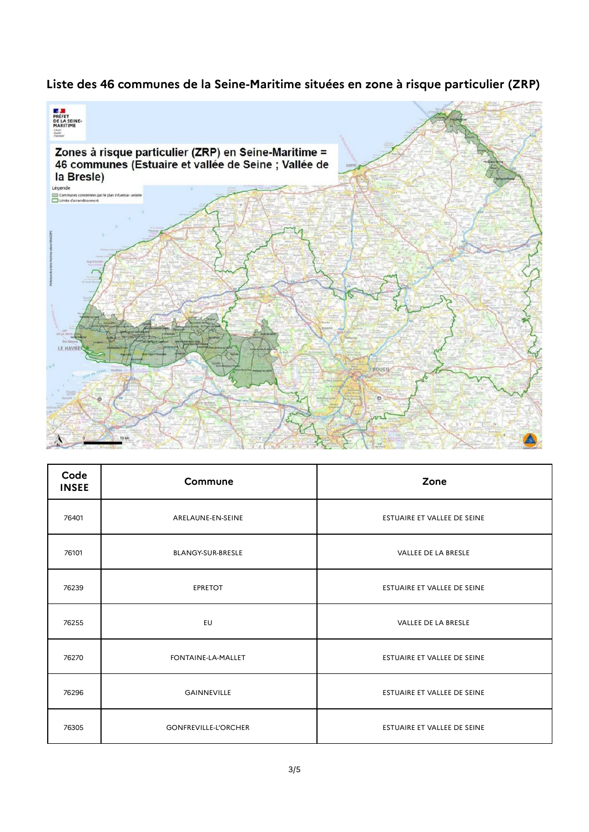## **Liste des 46 communes de la Seine-Maritime situées en zone à risque particulier (ZRP)**



| Code<br><b>INSEE</b> | Commune                     | Zone                        |
|----------------------|-----------------------------|-----------------------------|
| 76401                | ARELAUNE-EN-SEINE           | ESTUAIRE ET VALLEE DE SEINE |
| 76101                | <b>BLANGY-SUR-BRESLE</b>    | <b>VALLEE DE LA BRESLE</b>  |
| 76239                | <b>EPRETOT</b>              | ESTUAIRE ET VALLEE DE SEINE |
| 76255                | EU                          | VALLEE DE LA BRESLE         |
| 76270                | FONTAINE-LA-MALLET          | ESTUAIRE ET VALLEE DE SEINE |
| 76296                | <b>GAINNEVILLE</b>          | ESTUAIRE ET VALLEE DE SEINE |
| 76305                | <b>GONFREVILLE-L'ORCHER</b> | ESTUAIRE ET VALLEE DE SEINE |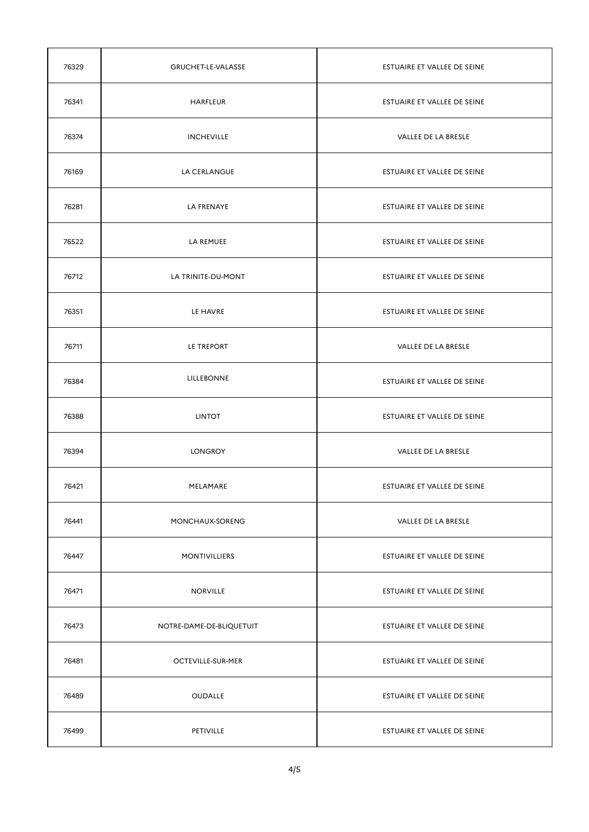| 76329 | GRUCHET-LE-VALASSE       | ESTUAIRE ET VALLEE DE SEINE        |
|-------|--------------------------|------------------------------------|
| 76341 | <b>HARFLEUR</b>          | ESTUAIRE ET VALLEE DE SEINE        |
| 76374 | <b>INCHEVILLE</b>        | VALLEE DE LA BRESLE                |
| 76169 | LA CERLANGUE             | <b>ESTUAIRE ET VALLEE DE SEINE</b> |
| 76281 | LA FRENAYE               | ESTUAIRE ET VALLEE DE SEINE        |
| 76522 | LA REMUEE                | ESTUAIRE ET VALLEE DE SEINE        |
| 76712 | LA TRINITE-DU-MONT       | ESTUAIRE ET VALLEE DE SEINE        |
| 76351 | LE HAVRE                 | ESTUAIRE ET VALLEE DE SEINE        |
| 76711 | LE TREPORT               | VALLEE DE LA BRESLE                |
| 76384 | LILLEBONNE               | ESTUAIRE ET VALLEE DE SEINE        |
| 76388 | <b>LINTOT</b>            | ESTUAIRE ET VALLEE DE SEINE        |
| 76394 | <b>LONGROY</b>           | <b>VALLEE DE LA BRESLE</b>         |
| 76421 | MELAMARE                 | ESTUAIRE ET VALLEE DE SEINE        |
| 76441 | MONCHAUX-SORENG          | <b>VALLEE DE LA BRESLE</b>         |
| 76447 | <b>MONTIVILLIERS</b>     | ESTUAIRE ET VALLEE DE SEINE        |
| 76471 | <b>NORVILLE</b>          | ESTUAIRE ET VALLEE DE SEINE        |
| 76473 | NOTRE-DAME-DE-BLIQUETUIT | ESTUAIRE ET VALLEE DE SEINE        |
| 76481 | <b>OCTEVILLE-SUR-MER</b> | ESTUAIRE ET VALLEE DE SEINE        |
| 76489 | <b>OUDALLE</b>           | ESTUAIRE ET VALLEE DE SEINE        |
| 76499 | PETIVILLE                | ESTUAIRE ET VALLEE DE SEINE        |